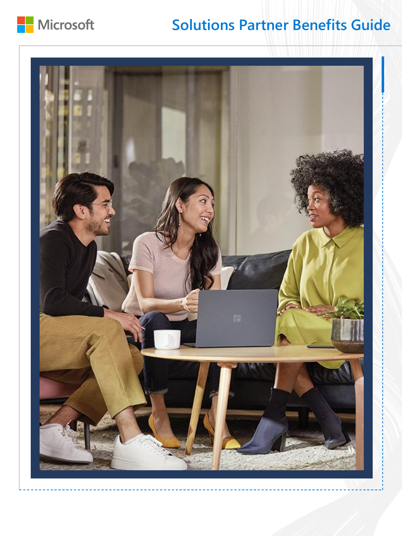

## **Solutions Partner Benefits Guide**

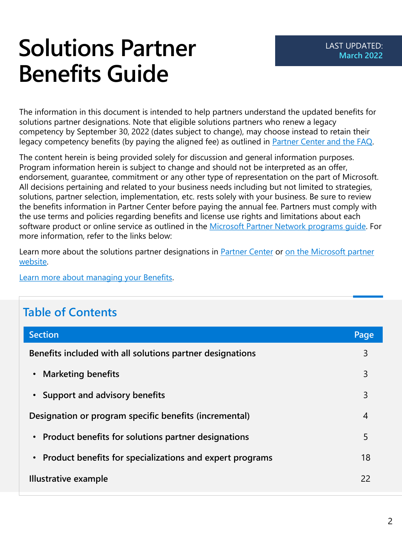# **Solutions Partner Benefits Guide**

The information in this document is intended to help partners understand the updated benefits for solutions partner designations. Note that eligible solutions partners who renew a legacy competency by September 30, 2022 (dates subject to change), may choose instead to retain their legacy competency benefits (by paying the aligned fee) as outlined in [Partner Center and the FAQ](https://aka.ms/Solutionspartner.Overview).

The content herein is being provided solely for discussion and general information purposes. Program information herein is subject to change and should not be interpreted as an offer, endorsement, guarantee, commitment or any other type of representation on the part of Microsoft. All decisions pertaining and related to your business needs including but not limited to strategies, solutions, partner selection, implementation, etc. rests solely with your business. Be sure to review the benefits information in Partner Center before paying the annual fee. Partners must comply with the use terms and policies regarding benefits and license use rights and limitations about each software product or online service as outlined in the Microsoft Partner Network programs quide. For more information, refer to the links below:

[Learn more about the solutions partner designations in Partner Center](https://aka.ms/solutions-partner) or on the Microsoft partner website.

[Learn more about managing your Benefits](https://docs.microsoft.com/partner-center/mpn-find-benefits).

#### **Table of Contents**

| <b>Section</b>                                             | Page |
|------------------------------------------------------------|------|
| Benefits included with all solutions partner designations  | 3    |
| <b>Marketing benefits</b><br>$\bullet$                     | 3    |
| • Support and advisory benefits                            | 3    |
| Designation or program specific benefits (incremental)     | 4    |
| • Product benefits for solutions partner designations      | 5    |
| • Product benefits for specializations and expert programs | 18   |
| <b>Illustrative example</b>                                | 22   |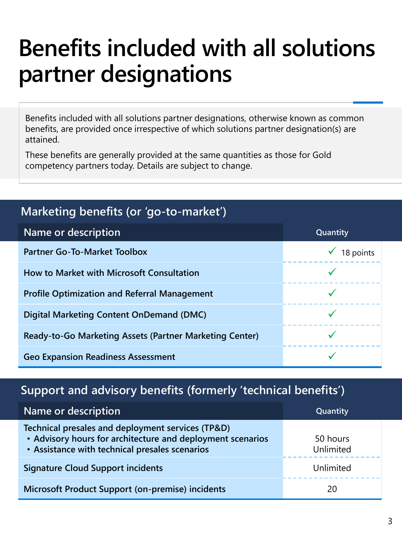# **Benefits included with all solutions partner designations**

Benefits included with all solutions partner designations, otherwise known as common benefits, are provided once irrespective of which solutions partner designation(s) are attained.

These benefits are generally provided at the same quantities as those for Gold competency partners today. Details are subject to change.

| Marketing benefits (or 'go-to-market')                  |           |
|---------------------------------------------------------|-----------|
| Name or description                                     | Quantity  |
| <b>Partner Go-To-Market Toolbox</b>                     | 18 points |
| <b>How to Market with Microsoft Consultation</b>        |           |
| <b>Profile Optimization and Referral Management</b>     |           |
| Digital Marketing Content OnDemand (DMC)                |           |
| Ready-to-Go Marketing Assets (Partner Marketing Center) |           |
| <b>Geo Expansion Readiness Assessment</b>               |           |

#### **Support and advisory benefits (formerly 'technical benefits')**

| Name or description                                                                                                                                               | Quantity              |
|-------------------------------------------------------------------------------------------------------------------------------------------------------------------|-----------------------|
| Technical presales and deployment services (TP&D)<br>• Advisory hours for architecture and deployment scenarios<br>• Assistance with technical presales scenarios | 50 hours<br>Unlimited |
| <b>Signature Cloud Support incidents</b>                                                                                                                          | Unlimited             |
| Microsoft Product Support (on-premise) incidents                                                                                                                  | 20                    |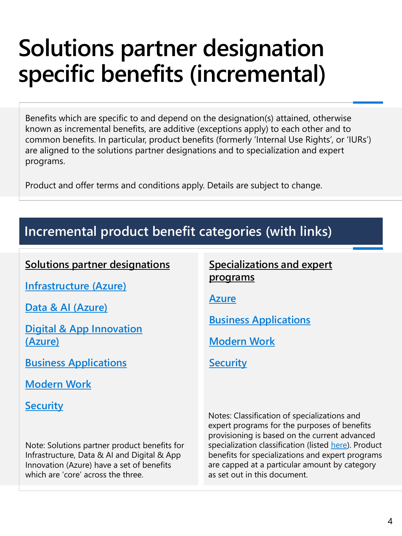# **Solutions partner designation specific benefits (incremental)**

Benefits which are specific to and depend on the designation(s) attained, otherwise known as incremental benefits, are additive (exceptions apply) to each other and to common benefits. In particular, product benefits (formerly 'Internal Use Rights', or 'IURs') are aligned to the solutions partner designations and to specialization and expert programs.

Product and offer terms and conditions apply. Details are subject to change.

#### **Incremental product benefit categories (with links)**

#### **Solutions partner designations**

**[Infrastructure \(Azure\)](#page-4-0)** 

**[Data & AI \(Azure\)](#page-6-0)** 

**[Digital & App Innovation](#page-8-0)  (Azure)**

**[Business Applications](#page-10-0)**

**[Modern Work](#page-13-0)**

**[Security](#page-15-0)**

Note: Solutions partner product benefits for Infrastructure, Data & AI and Digital & App Innovation (Azure) have a set of benefits which are 'core' across the three.

**Specializations and expert programs [Azure](#page-17-0) [Business Applications](#page-18-0) [Modern Work](#page-19-0) [Security](#page-19-0)**

Notes: Classification of specializations and expert programs for the purposes of benefits provisioning is based on the current advanced specialization classification (listed [here](#page-20-0)). Product benefits for specializations and expert programs are capped at a particular amount by category as set out in this document.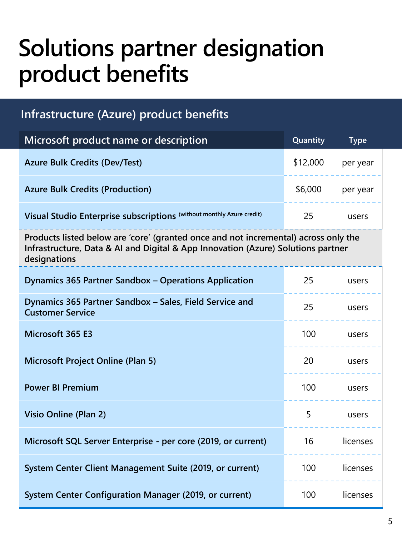# <span id="page-4-0"></span>**Solutions partner designation product benefits**

#### **Infrastructure (Azure) product benefits**

| Microsoft product name or description                                                                                                                                                   | Quantity | <b>Type</b> |
|-----------------------------------------------------------------------------------------------------------------------------------------------------------------------------------------|----------|-------------|
| <b>Azure Bulk Credits (Dev/Test)</b>                                                                                                                                                    | \$12,000 | per year    |
| <b>Azure Bulk Credits (Production)</b>                                                                                                                                                  | \$6,000  | per year    |
| Visual Studio Enterprise subscriptions (without monthly Azure credit)                                                                                                                   | 25       | users       |
| Products listed below are 'core' (granted once and not incremental) across only the<br>Infrastructure, Data & AI and Digital & App Innovation (Azure) Solutions partner<br>designations |          |             |
| Dynamics 365 Partner Sandbox - Operations Application                                                                                                                                   | 25       | users       |
| Dynamics 365 Partner Sandbox - Sales, Field Service and<br><b>Customer Service</b>                                                                                                      | 25       | users       |
| Microsoft 365 E3                                                                                                                                                                        | 100      | users       |
| <b>Microsoft Project Online (Plan 5)</b>                                                                                                                                                | 20       | users       |
| <b>Power BI Premium</b>                                                                                                                                                                 | 100      | users       |
| <b>Visio Online (Plan 2)</b>                                                                                                                                                            | 5        | users       |
| Microsoft SQL Server Enterprise - per core (2019, or current)                                                                                                                           | 16       | licenses    |
| System Center Client Management Suite (2019, or current)                                                                                                                                | 100      | licenses    |
| System Center Configuration Manager (2019, or current)                                                                                                                                  | 100      | licenses    |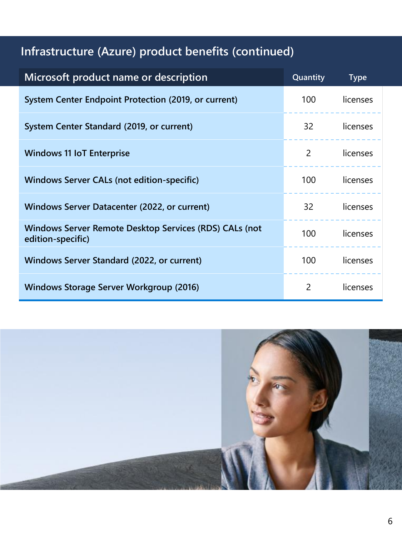### **Infrastructure (Azure) product benefits (continued)**

| Microsoft product name or description                                       | Quantity        | <b>Type</b> |
|-----------------------------------------------------------------------------|-----------------|-------------|
| System Center Endpoint Protection (2019, or current)                        | 100             | licenses    |
| System Center Standard (2019, or current)                                   | 32 L            | licenses    |
| <b>Windows 11 IoT Enterprise</b>                                            | 2               | licenses    |
| <b>Windows Server CALs (not edition-specific)</b>                           | $100-1$         | licenses    |
| Windows Server Datacenter (2022, or current)                                | 32 <sup>2</sup> | licenses    |
| Windows Server Remote Desktop Services (RDS) CALs (not<br>edition-specific) | 100             | licenses    |
| Windows Server Standard (2022, or current)                                  | 100             | licenses    |
| <b>Windows Storage Server Workgroup (2016)</b>                              | $\overline{2}$  | licenses    |

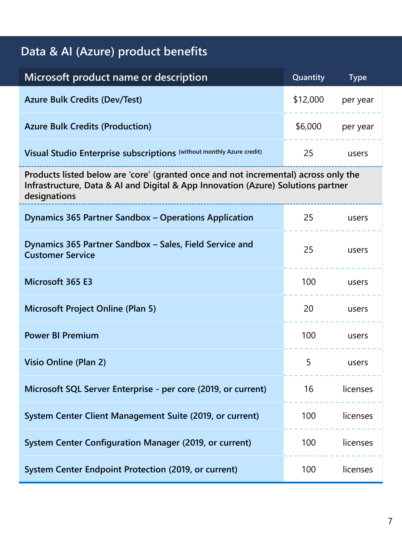# <span id="page-6-0"></span>**Data & AI (Azure) product benefits**

| Microsoft product name or description                                                                                                                                                   | Quantity | <b>Type</b> |
|-----------------------------------------------------------------------------------------------------------------------------------------------------------------------------------------|----------|-------------|
| <b>Azure Bulk Credits (Dev/Test)</b>                                                                                                                                                    | \$12,000 | per year    |
| <b>Azure Bulk Credits (Production)</b>                                                                                                                                                  | \$6,000  | per year    |
| Visual Studio Enterprise subscriptions (without monthly Azure credit)                                                                                                                   | 25       | users       |
| Products listed below are 'core' (granted once and not incremental) across only the<br>Infrastructure, Data & AI and Digital & App Innovation (Azure) Solutions partner<br>designations |          |             |
| Dynamics 365 Partner Sandbox - Operations Application                                                                                                                                   | 25       | users       |
| Dynamics 365 Partner Sandbox - Sales, Field Service and<br><b>Customer Service</b>                                                                                                      | 25       | users       |
| Microsoft 365 E3                                                                                                                                                                        | 100      | users       |
| Microsoft Project Online (Plan 5)                                                                                                                                                       | 20       | users       |
| <b>Power BI Premium</b>                                                                                                                                                                 | 100      | users       |
| <b>Visio Online (Plan 2)</b>                                                                                                                                                            | 5        | users       |
| Microsoft SQL Server Enterprise - per core (2019, or current)                                                                                                                           | 16       | licenses    |
| System Center Client Management Suite (2019, or current)                                                                                                                                | 100      | licenses    |
| System Center Configuration Manager (2019, or current)                                                                                                                                  | 100      | licenses    |
| System Center Endpoint Protection (2019, or current)                                                                                                                                    | 100      | licenses    |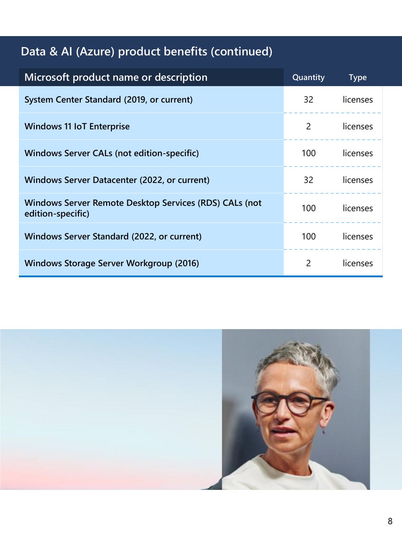#### <span id="page-7-0"></span>**Data & AI (Azure) product benefits (continued)**

| Microsoft product name or description                                       | Quantity         | <b>Type</b> |
|-----------------------------------------------------------------------------|------------------|-------------|
| System Center Standard (2019, or current)                                   | 32               | licenses    |
| <b>Windows 11 IoT Enterprise</b>                                            | 2                | licenses    |
| <b>Windows Server CALs (not edition-specific)</b>                           | 100              | licenses    |
| Windows Server Datacenter (2022, or current)                                | 32 L             | licenses    |
| Windows Server Remote Desktop Services (RDS) CALs (not<br>edition-specific) | 100              | licenses    |
| Windows Server Standard (2022, or current)                                  | 100 <sub>1</sub> | licenses    |
| <b>Windows Storage Server Workgroup (2016)</b>                              | 2                | licenses    |

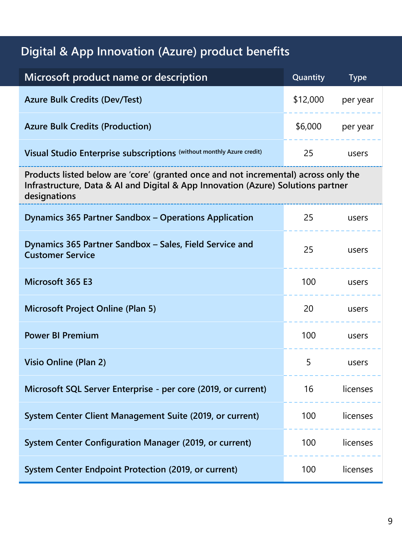### <span id="page-8-0"></span>**Digital & App Innovation (Azure) product benefits**

| Microsoft product name or description                                                                                                                                                   | Quantity | <b>Type</b> |
|-----------------------------------------------------------------------------------------------------------------------------------------------------------------------------------------|----------|-------------|
| <b>Azure Bulk Credits (Dev/Test)</b>                                                                                                                                                    | \$12,000 | per year    |
| <b>Azure Bulk Credits (Production)</b>                                                                                                                                                  | \$6,000  | per year    |
| Visual Studio Enterprise subscriptions (without monthly Azure credit)                                                                                                                   | 25       | users       |
| Products listed below are 'core' (granted once and not incremental) across only the<br>Infrastructure, Data & AI and Digital & App Innovation (Azure) Solutions partner<br>designations |          |             |
| <b>Dynamics 365 Partner Sandbox - Operations Application</b>                                                                                                                            | 25       | users       |
| Dynamics 365 Partner Sandbox - Sales, Field Service and<br><b>Customer Service</b>                                                                                                      | 25       | users       |
| Microsoft 365 E3                                                                                                                                                                        | 100      | users       |
| <b>Microsoft Project Online (Plan 5)</b>                                                                                                                                                | 20       | users       |
| <b>Power BI Premium</b>                                                                                                                                                                 | 100      | users       |
| Visio Online (Plan 2)                                                                                                                                                                   | 5        | users       |
| Microsoft SQL Server Enterprise - per core (2019, or current)                                                                                                                           | 16       | licenses    |
| System Center Client Management Suite (2019, or current)                                                                                                                                | 100      | licenses    |
| System Center Configuration Manager (2019, or current)                                                                                                                                  | 100      | licenses    |
| System Center Endpoint Protection (2019, or current)                                                                                                                                    | 100      | licenses    |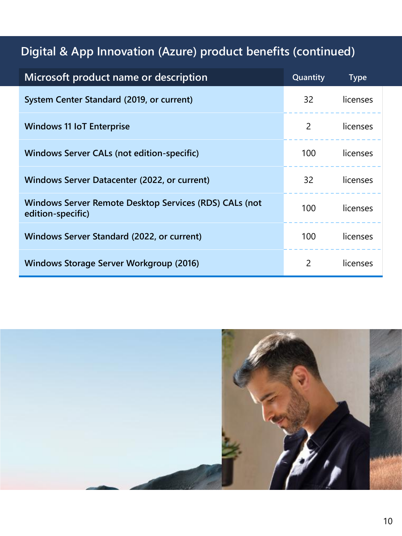### **Digital & App Innovation (Azure) product benefits (continued)**

| Microsoft product name or description                                       | Quantity | <b>Type</b> |
|-----------------------------------------------------------------------------|----------|-------------|
| System Center Standard (2019, or current)                                   | 32       | licenses    |
| <b>Windows 11 IoT Enterprise</b>                                            | 2        | licenses    |
| <b>Windows Server CALs (not edition-specific)</b>                           | 100      | licenses    |
| Windows Server Datacenter (2022, or current)                                | 32 a     | licenses    |
| Windows Server Remote Desktop Services (RDS) CALs (not<br>edition-specific) | 100      | licenses    |
| Windows Server Standard (2022, or current)                                  | 100      | licenses    |
| <b>Windows Storage Server Workgroup (2016)</b>                              | 2        | licenses    |

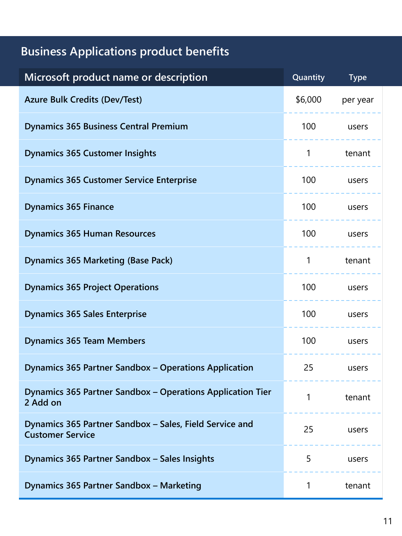# <span id="page-10-0"></span>**Business Applications product benefits**

| Microsoft product name or description                                              | Quantity | <b>Type</b> |
|------------------------------------------------------------------------------------|----------|-------------|
| <b>Azure Bulk Credits (Dev/Test)</b>                                               | \$6,000  | per year    |
| <b>Dynamics 365 Business Central Premium</b>                                       | 100      | users       |
| <b>Dynamics 365 Customer Insights</b>                                              | 1        | tenant      |
| <b>Dynamics 365 Customer Service Enterprise</b>                                    | 100      | users       |
| <b>Dynamics 365 Finance</b>                                                        | 100      | users       |
| <b>Dynamics 365 Human Resources</b>                                                | 100      | users       |
| <b>Dynamics 365 Marketing (Base Pack)</b>                                          | 1        | tenant      |
| <b>Dynamics 365 Project Operations</b>                                             | 100      | users       |
| <b>Dynamics 365 Sales Enterprise</b>                                               | 100      | users       |
| <b>Dynamics 365 Team Members</b>                                                   | 100      | users       |
| Dynamics 365 Partner Sandbox - Operations Application                              | 25       | users       |
| Dynamics 365 Partner Sandbox - Operations Application Tier<br>2 Add on             | 1        | tenant      |
| Dynamics 365 Partner Sandbox - Sales, Field Service and<br><b>Customer Service</b> | 25       | users       |
| Dynamics 365 Partner Sandbox - Sales Insights                                      | 5        | users       |
| Dynamics 365 Partner Sandbox - Marketing                                           | 1        | tenant      |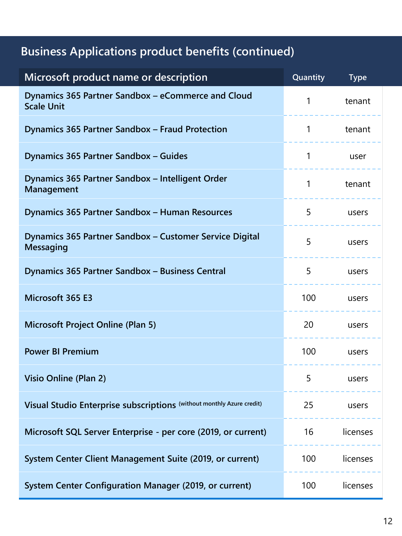## **Business Applications product benefits (continued)**

| Microsoft product name or description                                       | Quantity     | <b>Type</b> |
|-----------------------------------------------------------------------------|--------------|-------------|
| Dynamics 365 Partner Sandbox - eCommerce and Cloud<br><b>Scale Unit</b>     | $\mathbf{1}$ | tenant      |
| <b>Dynamics 365 Partner Sandbox - Fraud Protection</b>                      | 1            | tenant      |
| Dynamics 365 Partner Sandbox - Guides                                       | 1            | user        |
| Dynamics 365 Partner Sandbox - Intelligent Order<br>Management              | 1            | tenant      |
| Dynamics 365 Partner Sandbox - Human Resources                              | 5            | users       |
| Dynamics 365 Partner Sandbox - Customer Service Digital<br><b>Messaging</b> | 5            | users       |
| Dynamics 365 Partner Sandbox - Business Central                             | 5            | users       |
| Microsoft 365 E3                                                            | 100          | users       |
| <b>Microsoft Project Online (Plan 5)</b>                                    | 20           | users       |
| <b>Power BI Premium</b>                                                     | 100          | users       |
| Visio Online (Plan 2)                                                       | 5            | users       |
| Visual Studio Enterprise subscriptions (without monthly Azure credit)       | 25           | users       |
| Microsoft SQL Server Enterprise - per core (2019, or current)               | 16           | licenses    |
| System Center Client Management Suite (2019, or current)                    | 100          | licenses    |
| System Center Configuration Manager (2019, or current)                      | 100          | licenses    |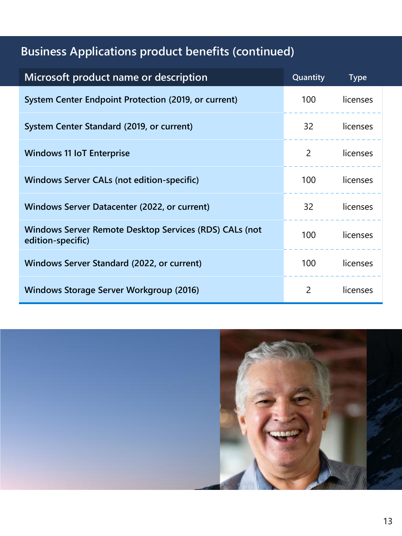## **Business Applications product benefits (continued)**

| Microsoft product name or description                                       | Quantity        | <b>Type</b> |
|-----------------------------------------------------------------------------|-----------------|-------------|
| System Center Endpoint Protection (2019, or current)                        | 100             | licenses    |
| System Center Standard (2019, or current)                                   | 32 L            | licenses    |
| <b>Windows 11 IoT Enterprise</b>                                            | $\overline{2}$  | licenses    |
| Windows Server CALs (not edition-specific)                                  | 100             | licenses    |
| Windows Server Datacenter (2022, or current)                                | 32 <sup>2</sup> | licenses    |
| Windows Server Remote Desktop Services (RDS) CALs (not<br>edition-specific) | 100             | licenses    |
| Windows Server Standard (2022, or current)                                  | 100             | licenses    |
| <b>Windows Storage Server Workgroup (2016)</b>                              | 2               | licenses    |

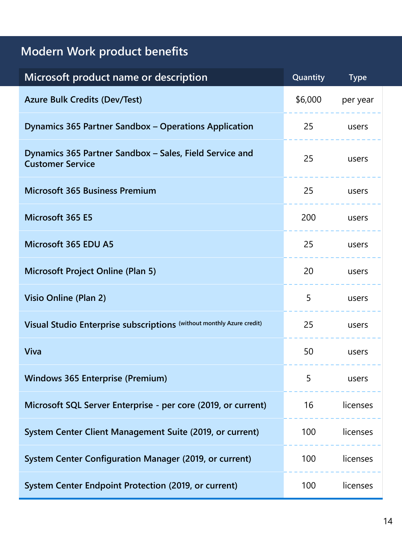## <span id="page-13-0"></span>**Modern Work product benefits**

| Microsoft product name or description                                              | Quantity | <b>Type</b> |
|------------------------------------------------------------------------------------|----------|-------------|
| <b>Azure Bulk Credits (Dev/Test)</b>                                               | \$6,000  | per year    |
| Dynamics 365 Partner Sandbox - Operations Application                              | 25       | users       |
| Dynamics 365 Partner Sandbox - Sales, Field Service and<br><b>Customer Service</b> | 25       | users       |
| <b>Microsoft 365 Business Premium</b>                                              | 25       | users       |
| Microsoft 365 E5                                                                   | 200      | users       |
| Microsoft 365 EDU A5                                                               | 25       | users       |
| <b>Microsoft Project Online (Plan 5)</b>                                           | 20       | users       |
| Visio Online (Plan 2)                                                              | 5        | users       |
| Visual Studio Enterprise subscriptions (without monthly Azure credit)              | 25       | users       |
| <b>Viva</b>                                                                        | 50       | users       |
| <b>Windows 365 Enterprise (Premium)</b>                                            | 5        | users       |
| Microsoft SQL Server Enterprise - per core (2019, or current)                      | 16       | licenses    |
| System Center Client Management Suite (2019, or current)                           | 100      | licenses    |
| System Center Configuration Manager (2019, or current)                             | 100      | licenses    |
| System Center Endpoint Protection (2019, or current)                               | 100      | licenses    |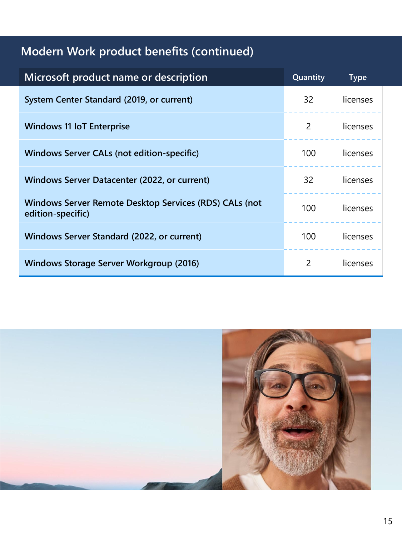### **Modern Work product benefits (continued)**

| Microsoft product name or description                                       | Quantity        | <b>Type</b> |
|-----------------------------------------------------------------------------|-----------------|-------------|
| System Center Standard (2019, or current)                                   | 32 <sup>2</sup> | licenses    |
| <b>Windows 11 IoT Enterprise</b>                                            | 2               | licenses    |
| <b>Windows Server CALs (not edition-specific)</b>                           | 100             | licenses    |
| Windows Server Datacenter (2022, or current)                                | 32 a            | licenses    |
| Windows Server Remote Desktop Services (RDS) CALs (not<br>edition-specific) | 100             | licenses    |
| Windows Server Standard (2022, or current)                                  | 100             | licenses    |
| <b>Windows Storage Server Workgroup (2016)</b>                              | 2               | licenses    |

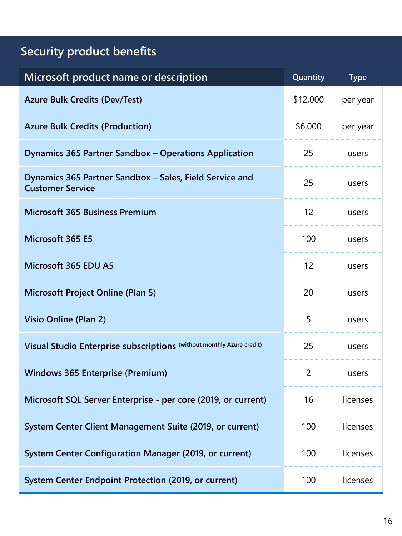# <span id="page-15-0"></span>**Security product benefits**

| Microsoft product name or description                                              | Quantity       | <b>Type</b> |
|------------------------------------------------------------------------------------|----------------|-------------|
| <b>Azure Bulk Credits (Dev/Test)</b>                                               | \$12,000       | per year    |
| <b>Azure Bulk Credits (Production)</b>                                             | \$6,000        | per year    |
| Dynamics 365 Partner Sandbox - Operations Application                              | 25             | users       |
| Dynamics 365 Partner Sandbox - Sales, Field Service and<br><b>Customer Service</b> | 25             | users       |
| <b>Microsoft 365 Business Premium</b>                                              | 12             | users       |
| Microsoft 365 E5                                                                   | 100            | users       |
| Microsoft 365 EDU A5                                                               | 12             | users       |
| <b>Microsoft Project Online (Plan 5)</b>                                           | 20             | users       |
| Visio Online (Plan 2)                                                              | 5              | users       |
| Visual Studio Enterprise subscriptions (without monthly Azure credit)              | 25             | users       |
| <b>Windows 365 Enterprise (Premium)</b>                                            | $\overline{2}$ | users       |
| Microsoft SQL Server Enterprise - per core (2019, or current)                      | 16             | licenses    |
| System Center Client Management Suite (2019, or current)                           | 100            | licenses    |
| System Center Configuration Manager (2019, or current)                             | 100            | licenses    |
| System Center Endpoint Protection (2019, or current)                               | 100            | licenses    |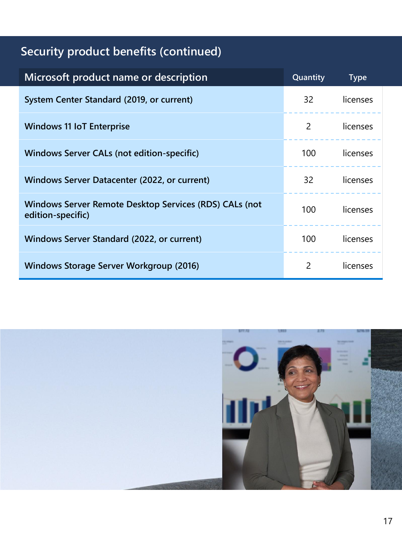## **Security product benefits (continued)**

| Microsoft product name or description                                       | Quantity | <b>Type</b> |
|-----------------------------------------------------------------------------|----------|-------------|
| System Center Standard (2019, or current)                                   | 32 L     | licenses    |
| <b>Windows 11 IoT Enterprise</b>                                            | 2        | licenses    |
| <b>Windows Server CALs (not edition-specific)</b>                           | 100      | licenses    |
| Windows Server Datacenter (2022, or current)                                | 32 L     | licenses    |
| Windows Server Remote Desktop Services (RDS) CALs (not<br>edition-specific) | 100      | licenses    |
| Windows Server Standard (2022, or current)                                  | 100      | licenses    |
| <b>Windows Storage Server Workgroup (2016)</b>                              | 2        | licenses    |

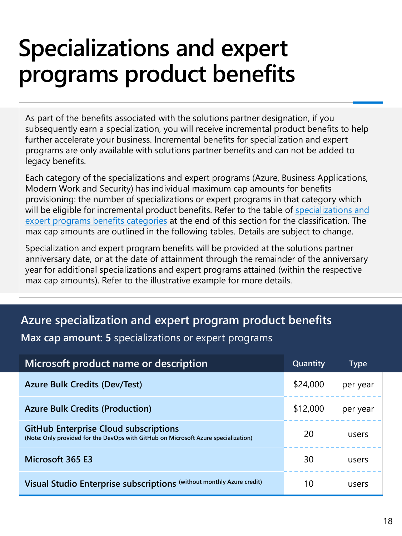# <span id="page-17-0"></span>**Specializations and expert programs product benefits**

As part of the benefits associated with the solutions partner designation, if you subsequently earn a specialization, you will receive incremental product benefits to help further accelerate your business. Incremental benefits for specialization and expert programs are only available with solutions partner benefits and can not be added to legacy benefits.

Each category of the specializations and expert programs (Azure, Business Applications, Modern Work and Security) has individual maximum cap amounts for benefits provisioning: the number of specializations or expert programs in that category which [will be eligible for incremental product benefits. Refer to the table of specializations and](#page-21-0) expert programs benefits categories at the end of this section for the classification. The max cap amounts are outlined in the following tables. Details are subject to change.

Specialization and expert program benefits will be provided at the solutions partner anniversary date, or at the date of attainment through the remainder of the anniversary year for additional specializations and expert programs attained (within the respective max cap amounts). Refer to the illustrative example for more details.

#### **Azure specialization and expert program product benefits**

**Max cap amount: 5** specializations or expert programs

| Microsoft product name or description                                                                                              | Quantity | Type     |
|------------------------------------------------------------------------------------------------------------------------------------|----------|----------|
| <b>Azure Bulk Credits (Dev/Test)</b>                                                                                               | \$24,000 | per year |
| <b>Azure Bulk Credits (Production)</b>                                                                                             | \$12,000 | per year |
| <b>GitHub Enterprise Cloud subscriptions</b><br>(Note: Only provided for the DevOps with GitHub on Microsoft Azure specialization) | 20       | users    |
| Microsoft 365 E3                                                                                                                   | 30       | users    |
| (without monthly Azure credit)<br><b>Visual Studio Enterprise subscriptions</b>                                                    | 10       | users    |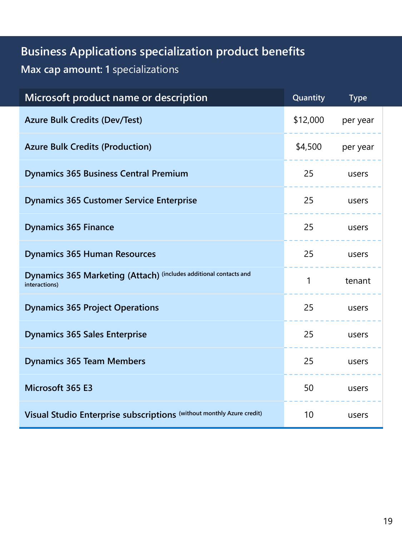#### <span id="page-18-0"></span>**Business Applications specialization product benefits**

**Max cap amount: 1** specializations

| Microsoft product name or description                                              | Quantity | <b>Type</b> |
|------------------------------------------------------------------------------------|----------|-------------|
| <b>Azure Bulk Credits (Dev/Test)</b>                                               | \$12,000 | per year    |
| <b>Azure Bulk Credits (Production)</b>                                             | \$4,500  | per year    |
| <b>Dynamics 365 Business Central Premium</b>                                       | 25       | users       |
| <b>Dynamics 365 Customer Service Enterprise</b>                                    | 25       | users       |
| <b>Dynamics 365 Finance</b>                                                        | 25       | users       |
| <b>Dynamics 365 Human Resources</b>                                                | 25       | users       |
| Dynamics 365 Marketing (Attach) (includes additional contacts and<br>interactions) | 1        | tenant      |
| <b>Dynamics 365 Project Operations</b>                                             | 25       | users       |
| <b>Dynamics 365 Sales Enterprise</b>                                               | 25       | users       |
| <b>Dynamics 365 Team Members</b>                                                   | 25       | users       |
| Microsoft 365 E3                                                                   | 50       | users       |
| Visual Studio Enterprise subscriptions (without monthly Azure credit)              | 10       | users       |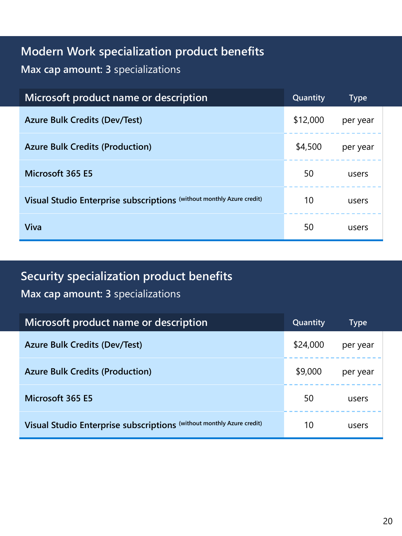#### <span id="page-19-0"></span>**Modern Work specialization product benefits**

**Max cap amount: 3** specializations

| Microsoft product name or description                                 | Quantity | Type     |
|-----------------------------------------------------------------------|----------|----------|
| <b>Azure Bulk Credits (Dev/Test)</b>                                  | \$12,000 | per year |
| <b>Azure Bulk Credits (Production)</b>                                | \$4,500  | per year |
| Microsoft 365 E5                                                      | 50       | users    |
| Visual Studio Enterprise subscriptions (without monthly Azure credit) | 10       | users    |
| <b>Viva</b>                                                           | 50       | users    |

#### **Security specialization product benefits**

#### **Max cap amount: 3** specializations

| Microsoft product name or description                                 | Quantity | Type     |
|-----------------------------------------------------------------------|----------|----------|
| <b>Azure Bulk Credits (Dev/Test)</b>                                  | \$24,000 | per year |
| <b>Azure Bulk Credits (Production)</b>                                | \$9,000  | per year |
| Microsoft 365 E5                                                      | 50       | users    |
| Visual Studio Enterprise subscriptions (without monthly Azure credit) | 10       | users    |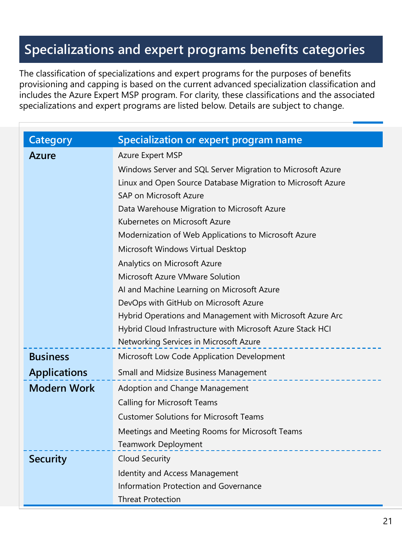### <span id="page-20-0"></span>**Specializations and expert programs benefits categories**

The classification of specializations and expert programs for the purposes of benefits provisioning and capping is based on the current advanced specialization classification and includes the Azure Expert MSP program. For clarity, these classifications and the associated specializations and expert programs are listed below. Details are subject to change.

| <b>Category</b>     | Specialization or expert program name                       |  |
|---------------------|-------------------------------------------------------------|--|
| <b>Azure</b>        | Azure Expert MSP                                            |  |
|                     | Windows Server and SQL Server Migration to Microsoft Azure  |  |
|                     | Linux and Open Source Database Migration to Microsoft Azure |  |
|                     | SAP on Microsoft Azure                                      |  |
|                     | Data Warehouse Migration to Microsoft Azure                 |  |
|                     | Kubernetes on Microsoft Azure                               |  |
|                     | Modernization of Web Applications to Microsoft Azure        |  |
|                     | Microsoft Windows Virtual Desktop                           |  |
|                     | Analytics on Microsoft Azure                                |  |
|                     | Microsoft Azure VMware Solution                             |  |
|                     | Al and Machine Learning on Microsoft Azure                  |  |
|                     | DevOps with GitHub on Microsoft Azure                       |  |
|                     | Hybrid Operations and Management with Microsoft Azure Arc   |  |
|                     | Hybrid Cloud Infrastructure with Microsoft Azure Stack HCI  |  |
|                     | Networking Services in Microsoft Azure                      |  |
| <b>Business</b>     | Microsoft Low Code Application Development                  |  |
| <b>Applications</b> | Small and Midsize Business Management                       |  |
| <b>Modern Work</b>  | Adoption and Change Management                              |  |
|                     | Calling for Microsoft Teams                                 |  |
|                     | <b>Customer Solutions for Microsoft Teams</b>               |  |
|                     | Meetings and Meeting Rooms for Microsoft Teams              |  |
|                     | Teamwork Deployment                                         |  |
| <b>Security</b>     | Cloud Security                                              |  |
|                     | Identity and Access Management                              |  |
|                     | Information Protection and Governance                       |  |
|                     | <b>Threat Protection</b>                                    |  |